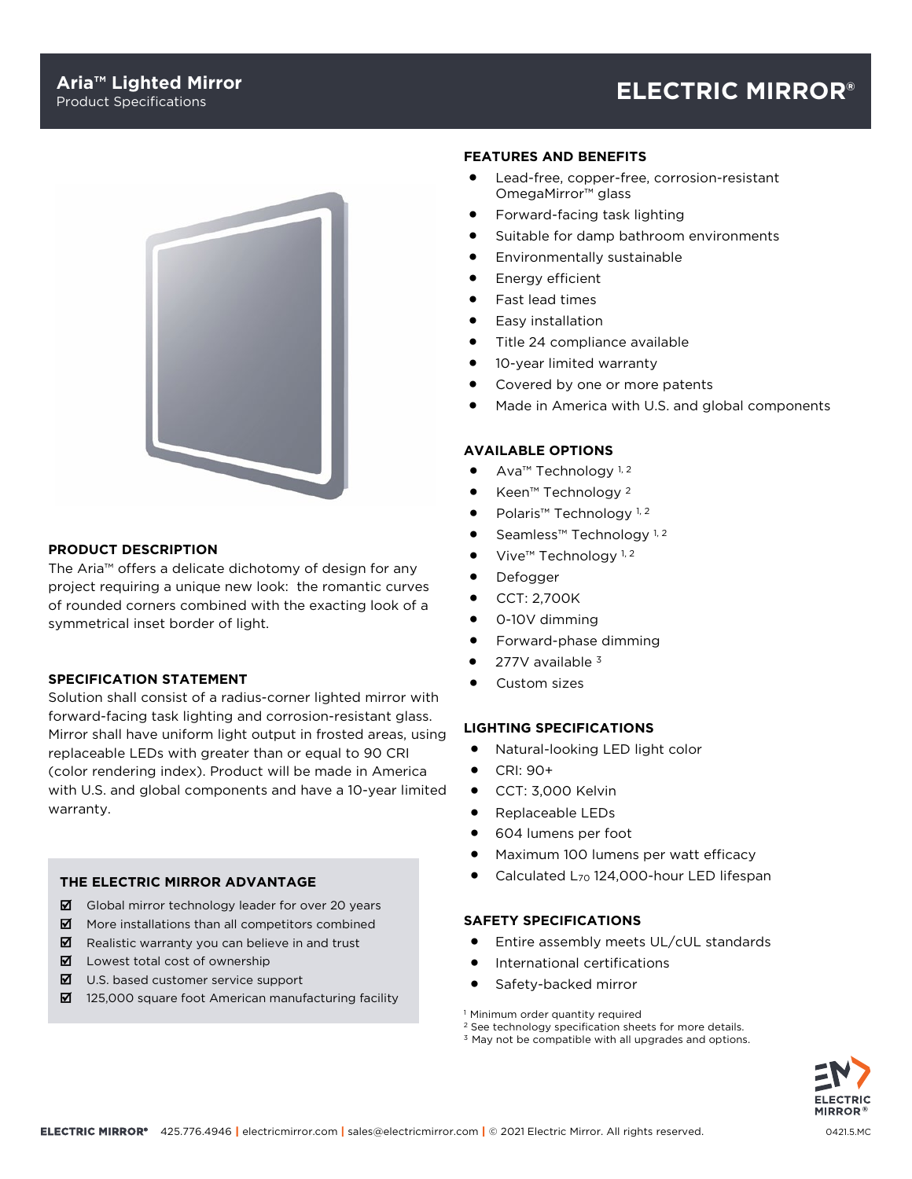# Product Specifications **ELECTRIC MIRROR®**



# **PRODUCT DESCRIPTION**

The Aria™ offers a delicate dichotomy of design for any project requiring a unique new look: the romantic curves of rounded corners combined with the exacting look of a symmetrical inset border of light.

# **SPECIFICATION STATEMENT**

Solution shall consist of a radius-corner lighted mirror with forward-facing task lighting and corrosion-resistant glass. Mirror shall have uniform light output in frosted areas, using replaceable LEDs with greater than or equal to 90 CRI (color rendering index). Product will be made in America with U.S. and global components and have a 10-year limited warranty.

## **THE ELECTRIC MIRROR ADVANTAGE**

- $\boxtimes$  Global mirror technology leader for over 20 years
- $\boxtimes$  More installations than all competitors combined
- $\boxtimes$  Realistic warranty you can believe in and trust
- $\blacksquare$  Lowest total cost of ownership
- $\boxtimes$  U.S. based customer service support
- $\boxtimes$  125,000 square foot American manufacturing facility

#### **FEATURES AND BENEFITS**

- Lead-free, copper-free, corrosion-resistant OmegaMirror™ glass
- Forward-facing task lighting
- Suitable for damp bathroom environments
- Environmentally sustainable
- Energy efficient
- Fast lead times
- Easy installation
- Title 24 compliance available
- 10-year limited warranty
- Covered by one or more patents
- Made in America with U.S. and global components

# **AVAILABLE OPTIONS**

- Ava<sup>™</sup> Technology<sup>1,2</sup>
- Keen™ Technology <sup>2</sup>
- Polaris<sup>™</sup> Technology<sup>1,2</sup>
- Seamless™ Technology<sup>1,2</sup>
- Vive<sup>™</sup> Technology<sup>1,2</sup>
- Defogger
- CCT: 2,700K
- 0-10V dimming
- Forward-phase dimming
- 277V available 3
- Custom sizes

#### **LIGHTING SPECIFICATIONS**

- Natural-looking LED light color
- CRI: 90+
- CCT: 3,000 Kelvin
- Replaceable LEDs
- 604 lumens per foot
- Maximum 100 lumens per watt efficacy
- Calculated L<sub>70</sub> 124,000-hour LED lifespan

#### **SAFETY SPECIFICATIONS**

- Entire assembly meets UL/cUL standards
- International certifications
- Safety-backed mirror

<sup>1</sup> Minimum order quantity required

- <sup>2</sup> See technology specification sheets for more details.
- <sup>3</sup> May not be compatible with all upgrades and options.